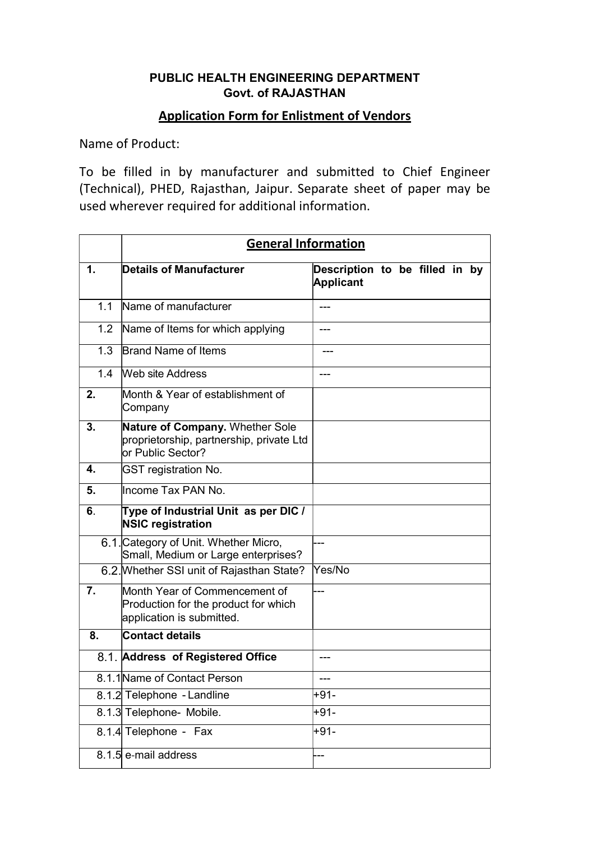## PUBLIC HEALTH ENGINEERING DEPARTMENT Govt. of RAJASTHAN

## Application Form for Enlistment of Vendors

Name of Product:

To be filled in by manufacturer and submitted to Chief Engineer (Technical), PHED, Rajasthan, Jaipur. Separate sheet of paper may be used wherever required for additional information.

|     | <b>General Information</b>                                                                         |                                                    |  |  |  |  |
|-----|----------------------------------------------------------------------------------------------------|----------------------------------------------------|--|--|--|--|
| 1.  | <b>Details of Manufacturer</b>                                                                     | Description to be filled in by<br><b>Applicant</b> |  |  |  |  |
| 11  | Name of manufacturer                                                                               |                                                    |  |  |  |  |
| 1.2 | Name of Items for which applying                                                                   | ---                                                |  |  |  |  |
| 1.3 | <b>Brand Name of Items</b>                                                                         |                                                    |  |  |  |  |
| 1.4 | <b>Web site Address</b>                                                                            |                                                    |  |  |  |  |
| 2.  | Month & Year of establishment of<br>Company                                                        |                                                    |  |  |  |  |
| 3.  | Nature of Company. Whether Sole<br>proprietorship, partnership, private Ltd<br>lor Public Sector?  |                                                    |  |  |  |  |
| 4.  | <b>GST registration No.</b>                                                                        |                                                    |  |  |  |  |
| 5.  | llncome Tax PAN No.                                                                                |                                                    |  |  |  |  |
| 6.  | Type of Industrial Unit as per DIC /<br><b>NSIC registration</b>                                   |                                                    |  |  |  |  |
|     | 6.1. Category of Unit. Whether Micro,<br>Small, Medium or Large enterprises?                       |                                                    |  |  |  |  |
|     | 6.2. Whether SSI unit of Rajasthan State?                                                          | Yes/No                                             |  |  |  |  |
| 7.  | Month Year of Commencement of<br>Production for the product for which<br>application is submitted. |                                                    |  |  |  |  |
| 8.  | <b>Contact details</b>                                                                             |                                                    |  |  |  |  |
|     | 8.1. Address of Registered Office                                                                  |                                                    |  |  |  |  |
|     | 8.1.1 Name of Contact Person                                                                       |                                                    |  |  |  |  |
|     | 8.1.2 Telephone - Landline                                                                         | +91-                                               |  |  |  |  |
|     | 8.1.3 Telephone- Mobile.                                                                           | +91-                                               |  |  |  |  |
|     | 8.1.4 Telephone - Fax                                                                              | +91-                                               |  |  |  |  |
|     | 8.1.5 e-mail address                                                                               |                                                    |  |  |  |  |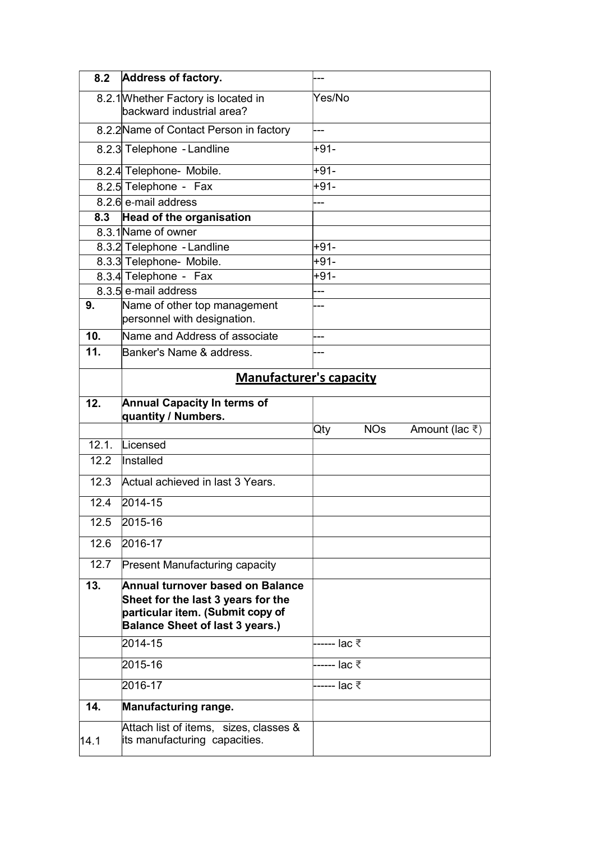| 8.2             | Address of factory.                                                                                                                                  |                                              |  |  |  |
|-----------------|------------------------------------------------------------------------------------------------------------------------------------------------------|----------------------------------------------|--|--|--|
|                 | 8.2.1 Whether Factory is located in<br>backward industrial area?                                                                                     | Yes/No                                       |  |  |  |
|                 | 8.2.2 Name of Contact Person in factory                                                                                                              | ---                                          |  |  |  |
|                 | 8.2.3 Telephone - Landline                                                                                                                           | +91-                                         |  |  |  |
|                 | 8.2.4 Telephone- Mobile.                                                                                                                             | $+91-$                                       |  |  |  |
|                 | 8.2.5 Telephone - Fax                                                                                                                                | $+91-$                                       |  |  |  |
|                 | 8.2.6 e-mail address                                                                                                                                 |                                              |  |  |  |
| 8.3             | <b>Head of the organisation</b>                                                                                                                      |                                              |  |  |  |
|                 | 8.3.1 Name of owner                                                                                                                                  |                                              |  |  |  |
|                 | 8.3.2 Telephone - Landline                                                                                                                           | $+91-$                                       |  |  |  |
|                 | 8.3.3 Telephone- Mobile.                                                                                                                             | $+91-$                                       |  |  |  |
|                 | 8.3.4 Telephone - Fax                                                                                                                                | $+91-$                                       |  |  |  |
|                 | 8.3.5 e-mail address                                                                                                                                 |                                              |  |  |  |
| 9.              | Name of other top management<br>personnel with designation.                                                                                          | ---                                          |  |  |  |
| 10 <sub>1</sub> | Name and Address of associate                                                                                                                        | ---                                          |  |  |  |
| 11.             | Banker's Name & address.                                                                                                                             |                                              |  |  |  |
|                 | <b>Manufacturer's capacity</b>                                                                                                                       |                                              |  |  |  |
| 12.             | <b>Annual Capacity In terms of</b><br>quantity / Numbers.                                                                                            |                                              |  |  |  |
|                 |                                                                                                                                                      | <b>NOs</b><br>Qty<br>Amount (lac $\bar{z}$ ) |  |  |  |
| 12.1.           | Licensed                                                                                                                                             |                                              |  |  |  |
| 12.2            | Installed                                                                                                                                            |                                              |  |  |  |
| 12.3            | Actual achieved in last 3 Years.                                                                                                                     |                                              |  |  |  |
| 12.4            | 2014-15                                                                                                                                              |                                              |  |  |  |
| 12.5            | 2015-16                                                                                                                                              |                                              |  |  |  |
| 12.6            | 2016-17                                                                                                                                              |                                              |  |  |  |
| 12.7            | <b>Present Manufacturing capacity</b>                                                                                                                |                                              |  |  |  |
| 13.             | Annual turnover based on Balance<br>Sheet for the last 3 years for the<br>particular item. (Submit copy of<br><b>Balance Sheet of last 3 years.)</b> |                                              |  |  |  |
|                 | 2014-15                                                                                                                                              | ------ lac ₹                                 |  |  |  |
|                 | 2015-16                                                                                                                                              | ------ lac ₹                                 |  |  |  |
|                 | 2016-17                                                                                                                                              | ------ lac ₹                                 |  |  |  |
| 14.             | Manufacturing range.                                                                                                                                 |                                              |  |  |  |
| 14.1            | Attach list of items, sizes, classes &<br>its manufacturing capacities.                                                                              |                                              |  |  |  |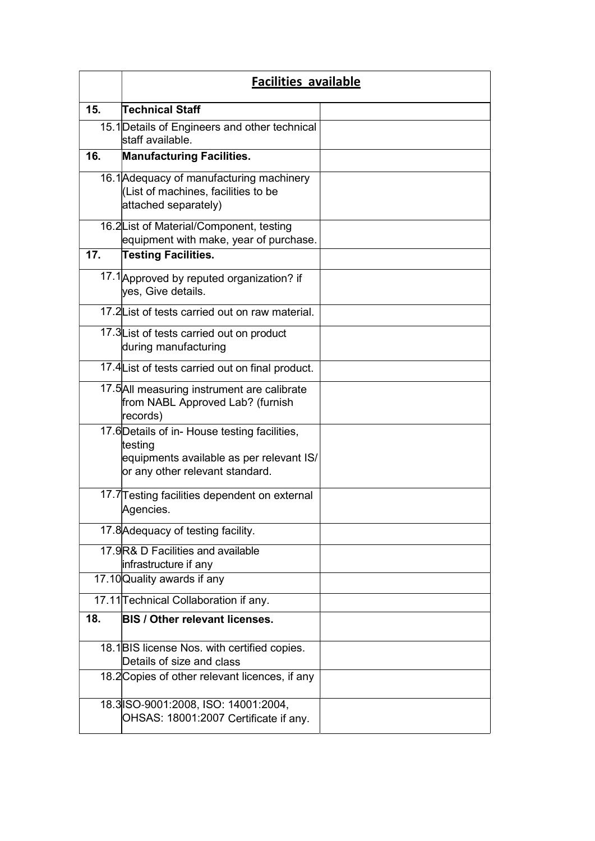|     | <b>Facilities available</b>                                                                                                             |  |  |
|-----|-----------------------------------------------------------------------------------------------------------------------------------------|--|--|
| 15. | Technical Staff                                                                                                                         |  |  |
|     | 15.1 Details of Engineers and other technical<br>lstaff available.                                                                      |  |  |
| 16. | <b>Manufacturing Facilities.</b>                                                                                                        |  |  |
|     | 16.1 Adequacy of manufacturing machinery<br>(List of machines, facilities to be<br>attached separately)                                 |  |  |
|     | 16.2 List of Material/Component, testing<br>equipment with make, year of purchase.                                                      |  |  |
| 17. | Testing Facilities.                                                                                                                     |  |  |
|     | 17.1 Approved by reputed organization? if<br>yes, Give details.                                                                         |  |  |
|     | 17.2L ist of tests carried out on raw material.                                                                                         |  |  |
|     | 17.3 List of tests carried out on product<br>during manufacturing                                                                       |  |  |
|     | 17.4 List of tests carried out on final product.                                                                                        |  |  |
|     | 17.5 All measuring instrument are calibrate<br>from NABL Approved Lab? (furnish<br>records)                                             |  |  |
|     | 17.6 Details of in- House testing facilities,<br>testing<br>equipments available as per relevant IS/<br>or any other relevant standard. |  |  |
|     | 17.7 Testing facilities dependent on external<br>Agencies.                                                                              |  |  |
|     | 17.8 Adequacy of testing facility.                                                                                                      |  |  |
|     | 17.9R& D Facilities and available<br>infrastructure if any                                                                              |  |  |
|     | 17.10 Quality awards if any                                                                                                             |  |  |
|     | 17.11 Technical Collaboration if any.                                                                                                   |  |  |
| 18. | <b>BIS / Other relevant licenses.</b>                                                                                                   |  |  |
|     | 18.1 BIS license Nos. with certified copies.<br>Details of size and class                                                               |  |  |
|     | 18.2 Copies of other relevant licences, if any                                                                                          |  |  |
|     | 18.3 SO-9001:2008, ISO: 14001:2004,<br>OHSAS: 18001:2007 Certificate if any.                                                            |  |  |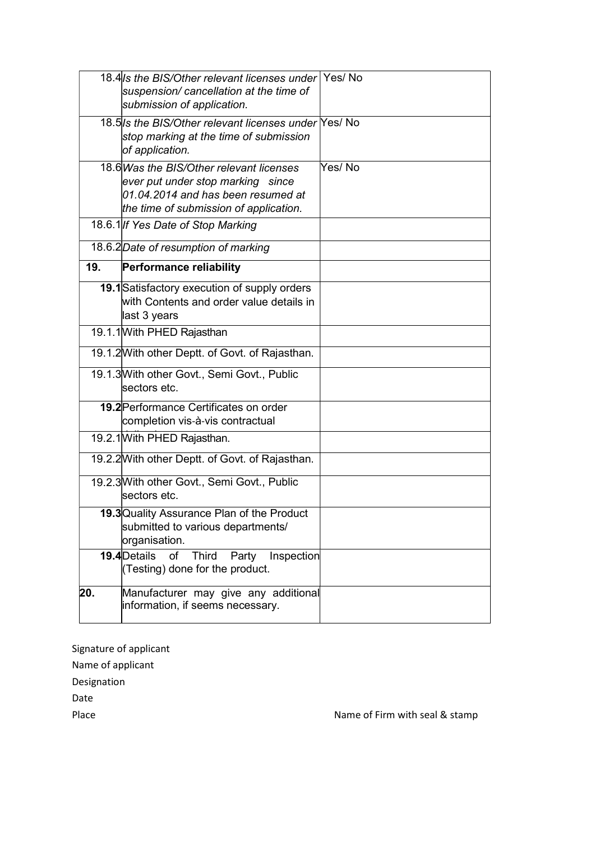|     | 18.4/s the BIS/Other relevant licenses under Yes/No<br>suspension/ cancellation at the time of<br>submission of application.                                  |         |
|-----|---------------------------------------------------------------------------------------------------------------------------------------------------------------|---------|
|     | 18.5/s the BIS/Other relevant licenses under Yes/ No<br>stop marking at the time of submission<br>of application.                                             |         |
|     | 18.6 Was the BIS/Other relevant licenses<br>ever put under stop marking since<br>01.04.2014 and has been resumed at<br>the time of submission of application. | Yes/ No |
|     | 18.6.1 If Yes Date of Stop Marking                                                                                                                            |         |
|     | 18.6.2 Date of resumption of marking                                                                                                                          |         |
| 19. | <b>Performance reliability</b>                                                                                                                                |         |
|     | 19.1 Satisfactory execution of supply orders<br>with Contents and order value details in<br>last 3 years                                                      |         |
|     | 19.1.1 With PHED Rajasthan                                                                                                                                    |         |
|     | 19.1.2 With other Deptt. of Govt. of Rajasthan.                                                                                                               |         |
|     | 19.1.3 With other Govt., Semi Govt., Public<br>lsectors etc.                                                                                                  |         |
|     | 19.2 Performance Certificates on order<br>completion vis-à-vis contractual                                                                                    |         |
|     | 19.2.1 With PHED Rajasthan.                                                                                                                                   |         |
|     | 19.2.2 With other Deptt. of Govt. of Rajasthan.                                                                                                               |         |
|     | 19.2.3 With other Govt., Semi Govt., Public<br>sectors etc.                                                                                                   |         |
|     | 19.3 Quality Assurance Plan of the Product<br>submitted to various departments/<br>organisation.                                                              |         |
|     | 19.4 Details<br>of<br>Third<br>Inspection<br>Party<br>(Testing) done for the product.                                                                         |         |
| 20. | Manufacturer may give any additional<br>information, if seems necessary.                                                                                      |         |

Signature of applicant

Name of applicant

Designation

Date

Place **Name of Firm with seal & stamp**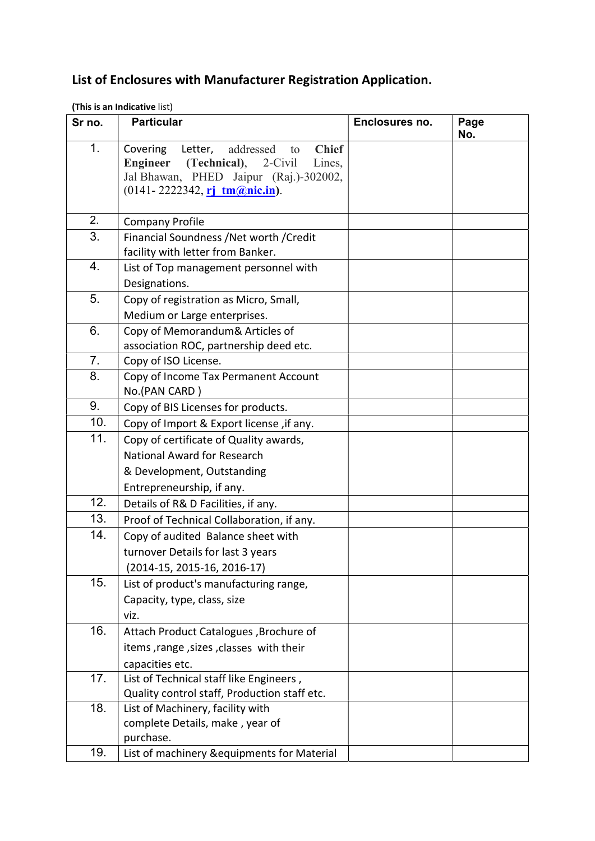## List of Enclosures with Manufacturer Registration Application.

|  | (This is an Indicative list) |  |
|--|------------------------------|--|
|  |                              |  |

| Sr no. | <b>Particular</b>                                                                                                                                                                                         | Enclosures no. | Page<br>No. |
|--------|-----------------------------------------------------------------------------------------------------------------------------------------------------------------------------------------------------------|----------------|-------------|
| 1.     | <b>Chief</b><br>Covering<br>Letter,<br>addressed<br>to<br><b>Engineer</b><br>(Technical),<br>$2$ -Civil<br>Lines,<br>Jal Bhawan, PHED Jaipur (Raj.)-302002,<br>$(0141 - 2222342, rj \tmtext{tm@nic.in}).$ |                |             |
| 2.     |                                                                                                                                                                                                           |                |             |
| 3.     | <b>Company Profile</b><br>Financial Soundness /Net worth /Credit                                                                                                                                          |                |             |
|        | facility with letter from Banker.                                                                                                                                                                         |                |             |
| 4.     | List of Top management personnel with                                                                                                                                                                     |                |             |
|        | Designations.                                                                                                                                                                                             |                |             |
| 5.     | Copy of registration as Micro, Small,                                                                                                                                                                     |                |             |
|        | Medium or Large enterprises.                                                                                                                                                                              |                |             |
| 6.     | Copy of Memorandum& Articles of                                                                                                                                                                           |                |             |
|        | association ROC, partnership deed etc.                                                                                                                                                                    |                |             |
| 7.     | Copy of ISO License.                                                                                                                                                                                      |                |             |
| 8.     | Copy of Income Tax Permanent Account<br>No.(PAN CARD)                                                                                                                                                     |                |             |
| 9.     | Copy of BIS Licenses for products.                                                                                                                                                                        |                |             |
| 10.    | Copy of Import & Export license, if any.                                                                                                                                                                  |                |             |
| 11.    | Copy of certificate of Quality awards,                                                                                                                                                                    |                |             |
|        | National Award for Research                                                                                                                                                                               |                |             |
|        | & Development, Outstanding                                                                                                                                                                                |                |             |
|        | Entrepreneurship, if any.                                                                                                                                                                                 |                |             |
| 12.    | Details of R& D Facilities, if any.                                                                                                                                                                       |                |             |
| 13.    | Proof of Technical Collaboration, if any.                                                                                                                                                                 |                |             |
| 14.    | Copy of audited Balance sheet with                                                                                                                                                                        |                |             |
|        | turnover Details for last 3 years                                                                                                                                                                         |                |             |
|        | (2014-15, 2015-16, 2016-17)                                                                                                                                                                               |                |             |
| 15.    | List of product's manufacturing range,                                                                                                                                                                    |                |             |
|        | Capacity, type, class, size                                                                                                                                                                               |                |             |
|        | viz.                                                                                                                                                                                                      |                |             |
| 16.    | Attach Product Catalogues, Brochure of                                                                                                                                                                    |                |             |
|        | items, range, sizes, classes with their                                                                                                                                                                   |                |             |
|        | capacities etc.                                                                                                                                                                                           |                |             |
| 17.    | List of Technical staff like Engineers,                                                                                                                                                                   |                |             |
|        | Quality control staff, Production staff etc.                                                                                                                                                              |                |             |
| 18.    | List of Machinery, facility with                                                                                                                                                                          |                |             |
|        | complete Details, make, year of<br>purchase.                                                                                                                                                              |                |             |
| 19.    |                                                                                                                                                                                                           |                |             |
|        | List of machinery &equipments for Material                                                                                                                                                                |                |             |